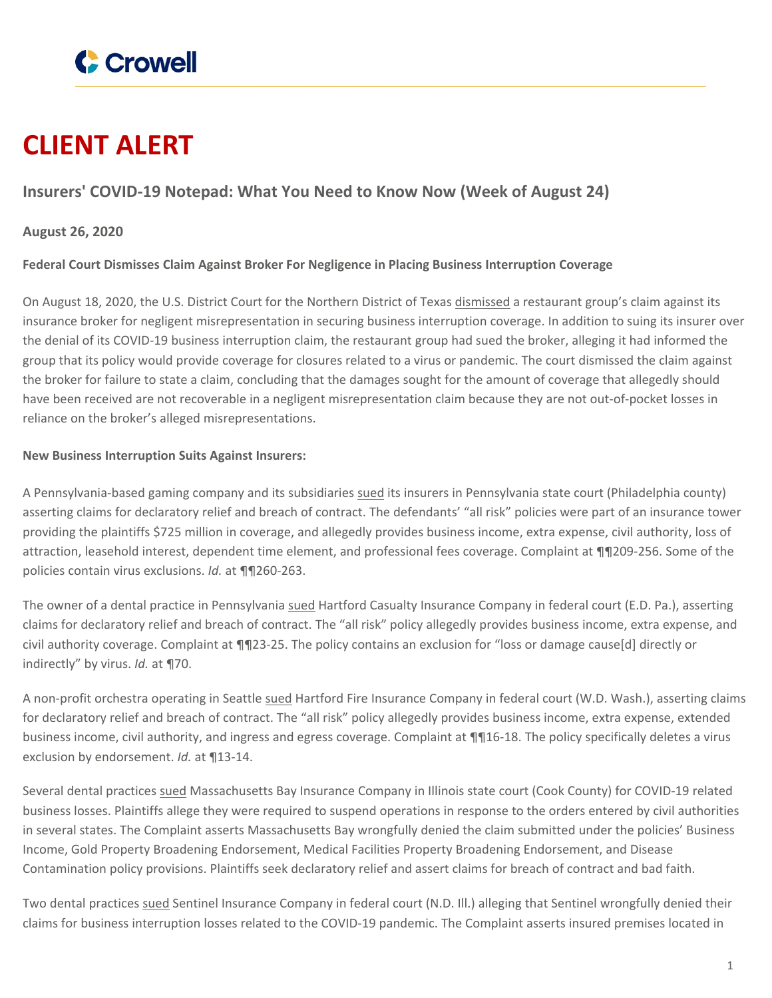

# **CLIENT ALERT**

## **Insurers' COVID-19 Notepad: What You Need to Know Now (Week of August 24)**

### **August 26, 2020**

#### **Federal Court Dismisses Claim Against Broker For Negligence in Placing Business Interruption Coverage**

On August 18, 2020, the U.S. District Court for the Northern District of Texas [dismissed](https://www.crowell.com/files/vandelay.PDF) a restaurant group's claim against its insurance broker for negligent misrepresentation in securing business interruption coverage. In addition to suing its insurer over the denial of its COVID-19 business interruption claim, the restaurant group had sued the broker, alleging it had informed the group that its policy would provide coverage for closures related to a virus or pandemic. The court dismissed the claim against the broker for failure to state a claim, concluding that the damages sought for the amount of coverage that allegedly should have been received are not recoverable in a negligent misrepresentation claim because they are not out-of-pocket losses in reliance on the broker's alleged misrepresentations.

#### **New Business Interruption Suits Against Insurers:**

A Pennsylvania-based gaming company and its subsidiaries [sued](https://www.crowell.com/files/penn.PDF) its insurers in Pennsylvania state court (Philadelphia county) asserting claims for declaratory relief and breach of contract. The defendants' "all risk" policies were part of an insurance tower providing the plaintiffs \$725 million in coverage, and allegedly provides business income, extra expense, civil authority, loss of attraction, leasehold interest, dependent time element, and professional fees coverage. Complaint at ¶¶209-256. Some of the policies contain virus exclusions. *Id.* at ¶¶260-263.

The owner of a dental practice in Pennsylvania [sued](https://www.crowell.com/files/howell.PDF) Hartford Casualty Insurance Company in federal court (E.D. Pa.), asserting claims for declaratory relief and breach of contract. The "all risk" policy allegedly provides business income, extra expense, and civil authority coverage. Complaint at ¶¶23-25. The policy contains an exclusion for "loss or damage cause[d] directly or indirectly" by virus. *Id.* at ¶70.

A non-profit orchestra operating in Seattle [sued](https://www.crowell.com/files/seattle.PDF) Hartford Fire Insurance Company in federal court (W.D. Wash.), asserting claims for declaratory relief and breach of contract. The "all risk" policy allegedly provides business income, extra expense, extended business income, civil authority, and ingress and egress coverage. Complaint at ¶¶16-18. The policy specifically deletes a virus exclusion by endorsement. *Id.* at ¶13-14.

Several dental practices [sued](https://www.crowell.com/files/dental.PDF) Massachusetts Bay Insurance Company in Illinois state court (Cook County) for COVID-19 related business losses. Plaintiffs allege they were required to suspend operations in response to the orders entered by civil authorities in several states. The Complaint asserts Massachusetts Bay wrongfully denied the claim submitted under the policies' Business Income, Gold Property Broadening Endorsement, Medical Facilities Property Broadening Endorsement, and Disease Contamination policy provisions. Plaintiffs seek declaratory relief and assert claims for breach of contract and bad faith.

Two dental practices [sued](https://www.crowell.com/files/smiles.PDF) Sentinel Insurance Company in federal court (N.D. Ill.) alleging that Sentinel wrongfully denied their claims for business interruption losses related to the COVID-19 pandemic. The Complaint asserts insured premises located in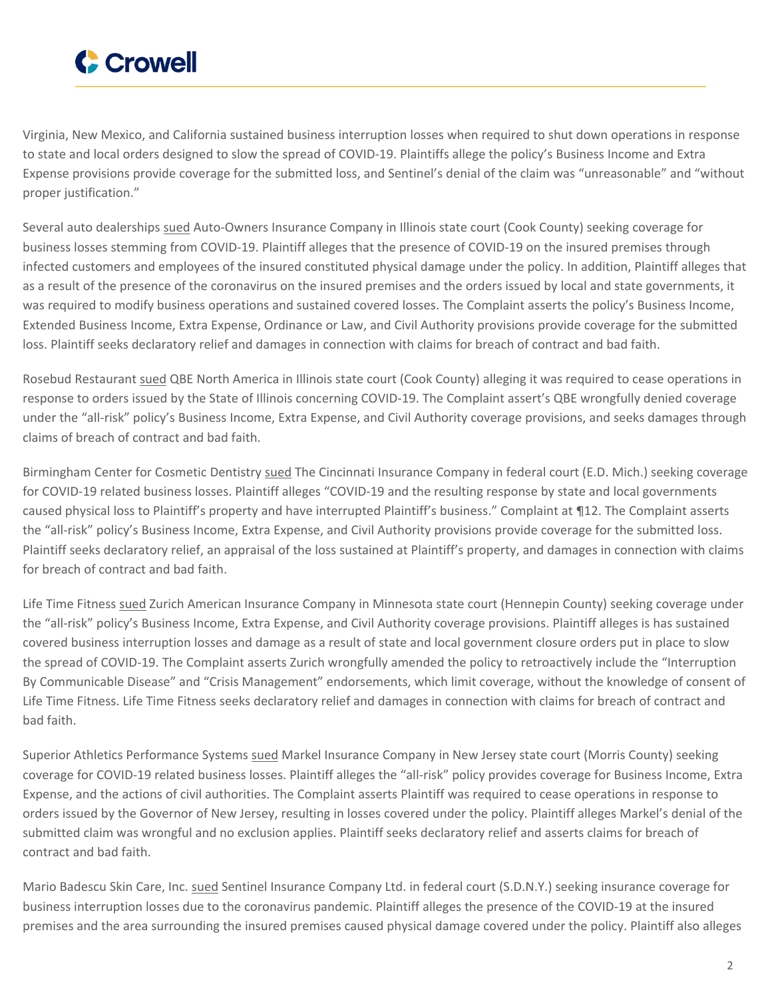

Virginia, New Mexico, and California sustained business interruption losses when required to shut down operations in response to state and local orders designed to slow the spread of COVID-19. Plaintiffs allege the policy's Business Income and Extra Expense provisions provide coverage for the submitted loss, and Sentinel's denial of the claim was "unreasonable" and "without proper justification."

Several auto dealerships [sued](https://www.crowell.com/files/napleton.PDF) Auto-Owners Insurance Company in Illinois state court (Cook County) seeking coverage for business losses stemming from COVID-19. Plaintiff alleges that the presence of COVID-19 on the insured premises through infected customers and employees of the insured constituted physical damage under the policy. In addition, Plaintiff alleges that as a result of the presence of the coronavirus on the insured premises and the orders issued by local and state governments, it was required to modify business operations and sustained covered losses. The Complaint asserts the policy's Business Income, Extended Business Income, Extra Expense, Ordinance or Law, and Civil Authority provisions provide coverage for the submitted loss. Plaintiff seeks declaratory relief and damages in connection with claims for breach of contract and bad faith.

Rosebud Restaurant [sued](https://www.crowell.com/files/rosebud.PDF) QBE North America in Illinois state court (Cook County) alleging it was required to cease operations in response to orders issued by the State of Illinois concerning COVID-19. The Complaint assert's QBE wrongfully denied coverage under the "all-risk" policy's Business Income, Extra Expense, and Civil Authority coverage provisions, and seeks damages through claims of breach of contract and bad faith.

Birmingham Center for Cosmetic Dentistry [sued](https://www.crowell.com/files/michael.PDF) The Cincinnati Insurance Company in federal court (E.D. Mich.) seeking coverage for COVID-19 related business losses. Plaintiff alleges "COVID-19 and the resulting response by state and local governments caused physical loss to Plaintiff's property and have interrupted Plaintiff's business." Complaint at ¶12. The Complaint asserts the "all-risk" policy's Business Income, Extra Expense, and Civil Authority provisions provide coverage for the submitted loss. Plaintiff seeks declaratory relief, an appraisal of the loss sustained at Plaintiff's property, and damages in connection with claims for breach of contract and bad faith.

Life Time Fitness [sued](https://www.crowell.com/files/lifetime.PDF) Zurich American Insurance Company in Minnesota state court (Hennepin County) seeking coverage under the "all-risk" policy's Business Income, Extra Expense, and Civil Authority coverage provisions. Plaintiff alleges is has sustained covered business interruption losses and damage as a result of state and local government closure orders put in place to slow the spread of COVID-19. The Complaint asserts Zurich wrongfully amended the policy to retroactively include the "Interruption By Communicable Disease" and "Crisis Management" endorsements, which limit coverage, without the knowledge of consent of Life Time Fitness. Life Time Fitness seeks declaratory relief and damages in connection with claims for breach of contract and bad faith.

Superior Athletics Performance Systems [sued](https://www.crowell.com/files/superior.PDF) Markel Insurance Company in New Jersey state court (Morris County) seeking coverage for COVID-19 related business losses. Plaintiff alleges the "all-risk" policy provides coverage for Business Income, Extra Expense, and the actions of civil authorities. The Complaint asserts Plaintiff was required to cease operations in response to orders issued by the Governor of New Jersey, resulting in losses covered under the policy. Plaintiff alleges Markel's denial of the submitted claim was wrongful and no exclusion applies. Plaintiff seeks declaratory relief and asserts claims for breach of contract and bad faith.

Mario Badescu Skin Care, Inc. [sued](https://www.crowell.com/files/mario.PDF) Sentinel Insurance Company Ltd. in federal court (S.D.N.Y.) seeking insurance coverage for business interruption losses due to the coronavirus pandemic. Plaintiff alleges the presence of the COVID-19 at the insured premises and the area surrounding the insured premises caused physical damage covered under the policy. Plaintiff also alleges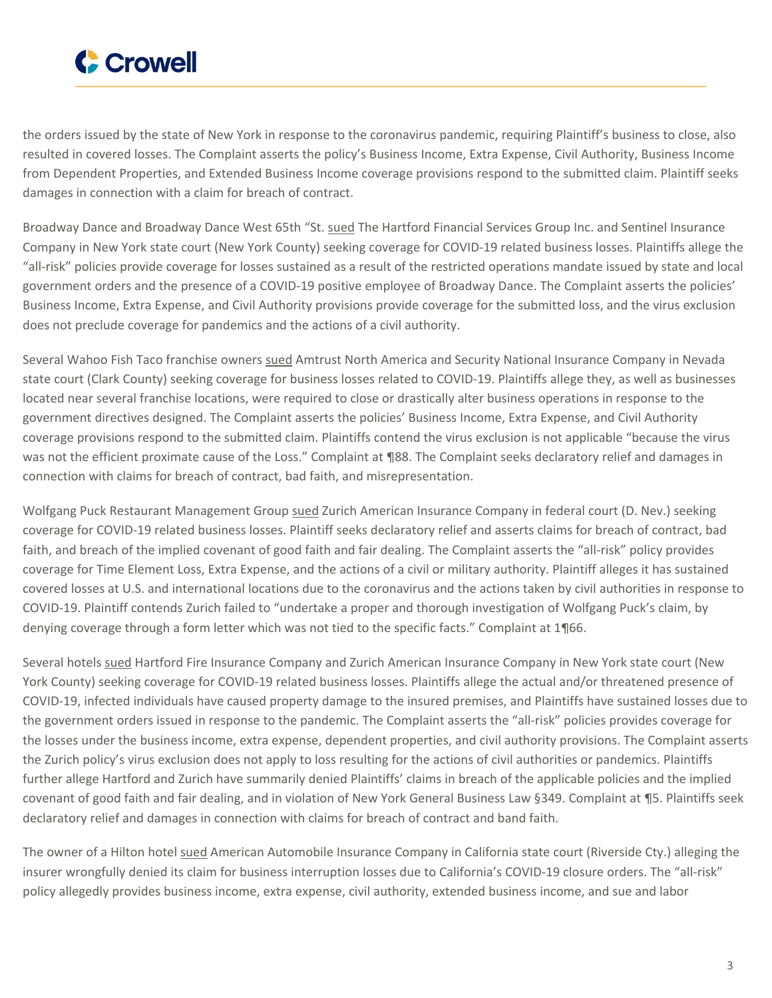

the orders issued by the state of New York in response to the coronavirus pandemic, requiring Plaintiff's business to close, also resulted in covered losses. The Complaint asserts the policy's Business Income, Extra Expense, Civil Authority, Business Income from Dependent Properties, and Extended Business Income coverage provisions respond to the submitted claim. Plaintiff seeks damages in connection with a claim for breach of contract.

Broadway Dance and Broadway Dance West 65th "St. [sued](https://www.crowell.com/files/rhytm.PDF) The Hartford Financial Services Group Inc. and Sentinel Insurance Company in New York state court (New York County) seeking coverage for COVID-19 related business losses. Plaintiffs allege the "all-risk" policies provide coverage for losses sustained as a result of the restricted operations mandate issued by state and local government orders and the presence of a COVID-19 positive employee of Broadway Dance. The Complaint asserts the policies' Business Income, Extra Expense, and Civil Authority provisions provide coverage for the submitted loss, and the virus exclusion does not preclude coverage for pandemics and the actions of a civil authority.

Several Wahoo Fish Taco franchise owners [sued](https://www.crowell.com/files/wftl.PDF) Amtrust North America and Security National Insurance Company in Nevada state court (Clark County) seeking coverage for business losses related to COVID-19. Plaintiffs allege they, as well as businesses located near several franchise locations, were required to close or drastically alter business operations in response to the government directives designed. The Complaint asserts the policies' Business Income, Extra Expense, and Civil Authority coverage provisions respond to the submitted claim. Plaintiffs contend the virus exclusion is not applicable "because the virus was not the efficient proximate cause of the Loss." Complaint at ¶88. The Complaint seeks declaratory relief and damages in connection with claims for breach of contract, bad faith, and misrepresentation.

Wolfgang Puck Restaurant Management Group [sued](https://www.crowell.com/files/wp.PDF) Zurich American Insurance Company in federal court (D. Nev.) seeking coverage for COVID-19 related business losses. Plaintiff seeks declaratory relief and asserts claims for breach of contract, bad faith, and breach of the implied covenant of good faith and fair dealing. The Complaint asserts the "all-risk" policy provides coverage for Time Element Loss, Extra Expense, and the actions of a civil or military authority. Plaintiff alleges it has sustained covered losses at U.S. and international locations due to the coronavirus and the actions taken by civil authorities in response to COVID-19. Plaintiff contends Zurich failed to "undertake a proper and thorough investigation of Wolfgang Puck's claim, by denying coverage through a form letter which was not tied to the specific facts." Complaint at 1¶66.

Several hotels [sued](https://www.crowell.com/files/triumph.PDF) Hartford Fire Insurance Company and Zurich American Insurance Company in New York state court (New York County) seeking coverage for COVID-19 related business losses. Plaintiffs allege the actual and/or threatened presence of COVID-19, infected individuals have caused property damage to the insured premises, and Plaintiffs have sustained losses due to the government orders issued in response to the pandemic. The Complaint asserts the "all-risk" policies provides coverage for the losses under the business income, extra expense, dependent properties, and civil authority provisions. The Complaint asserts the Zurich policy's virus exclusion does not apply to loss resulting for the actions of civil authorities or pandemics. Plaintiffs further allege Hartford and Zurich have summarily denied Plaintiffs' claims in breach of the applicable policies and the implied covenant of good faith and fair dealing, and in violation of New York General Business Law §349. Complaint at ¶5. Plaintiffs seek declaratory relief and damages in connection with claims for breach of contract and band faith.

The owner of a Hilton hotel [sued](https://www.crowell.com/files/walter.PDF) American Automobile Insurance Company in California state court (Riverside Cty.) alleging the insurer wrongfully denied its claim for business interruption losses due to California's COVID-19 closure orders. The "all-risk" policy allegedly provides business income, extra expense, civil authority, extended business income, and sue and labor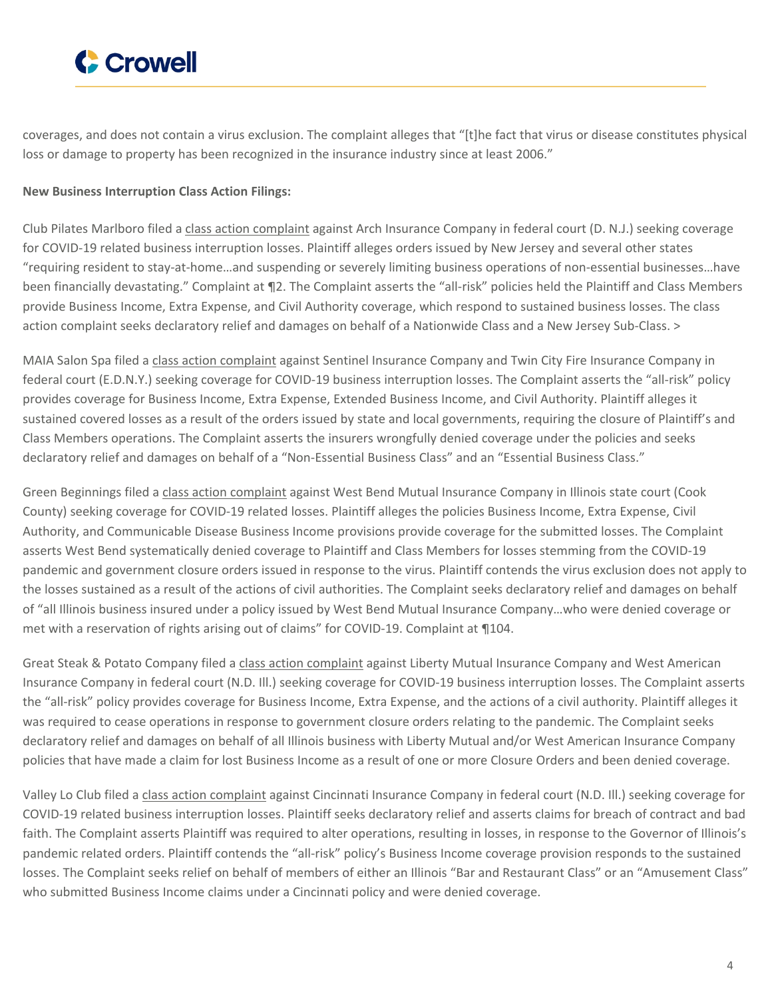

coverages, and does not contain a virus exclusion. The complaint alleges that "[t]he fact that virus or disease constitutes physical loss or damage to property has been recognized in the insurance industry since at least 2006."

#### **New Business Interruption Class Action Filings:**

Club Pilates Marlboro filed a class action [complaint](https://www.crowell.com/files/davis.PDF) against Arch Insurance Company in federal court (D. N.J.) seeking coverage for COVID-19 related business interruption losses. Plaintiff alleges orders issued by New Jersey and several other states "requiring resident to stay-at-home…and suspending or severely limiting business operations of non-essential businesses…have been financially devastating." Complaint at ¶2. The Complaint asserts the "all-risk" policies held the Plaintiff and Class Members provide Business Income, Extra Expense, and Civil Authority coverage, which respond to sustained business losses. The class action complaint seeks declaratory relief and damages on behalf of a Nationwide Class and a New Jersey Sub-Class. >

MAIA Salon Spa filed a class action [complaint](https://www.crowell.com/files/maia.PDF) against Sentinel Insurance Company and Twin City Fire Insurance Company in federal court (E.D.N.Y.) seeking coverage for COVID-19 business interruption losses. The Complaint asserts the "all-risk" policy provides coverage for Business Income, Extra Expense, Extended Business Income, and Civil Authority. Plaintiff alleges it sustained covered losses as a result of the orders issued by state and local governments, requiring the closure of Plaintiff's and Class Members operations. The Complaint asserts the insurers wrongfully denied coverage under the policies and seeks declaratory relief and damages on behalf of a "Non-Essential Business Class" and an "Essential Business Class."

Green Beginnings filed a class action [complaint](https://www.crowell.com/files/green.PDF) against West Bend Mutual Insurance Company in Illinois state court (Cook County) seeking coverage for COVID-19 related losses. Plaintiff alleges the policies Business Income, Extra Expense, Civil Authority, and Communicable Disease Business Income provisions provide coverage for the submitted losses. The Complaint asserts West Bend systematically denied coverage to Plaintiff and Class Members for losses stemming from the COVID-19 pandemic and government closure orders issued in response to the virus. Plaintiff contends the virus exclusion does not apply to the losses sustained as a result of the actions of civil authorities. The Complaint seeks declaratory relief and damages on behalf of "all Illinois business insured under a policy issued by West Bend Mutual Insurance Company…who were denied coverage or met with a reservation of rights arising out of claims" for COVID-19. Complaint at 1104.

Great Steak & Potato Company filed a class action [complaint](https://www.crowell.com/files/melcorp.PDF) against Liberty Mutual Insurance Company and West American Insurance Company in federal court (N.D. Ill.) seeking coverage for COVID-19 business interruption losses. The Complaint asserts the "all-risk" policy provides coverage for Business Income, Extra Expense, and the actions of a civil authority. Plaintiff alleges it was required to cease operations in response to government closure orders relating to the pandemic. The Complaint seeks declaratory relief and damages on behalf of all Illinois business with Liberty Mutual and/or West American Insurance Company policies that have made a claim for lost Business Income as a result of one or more Closure Orders and been denied coverage.

Valley Lo Club filed a class action [complaint](https://www.crowell.com/files/valley.PDF) against Cincinnati Insurance Company in federal court (N.D. Ill.) seeking coverage for COVID-19 related business interruption losses. Plaintiff seeks declaratory relief and asserts claims for breach of contract and bad faith. The Complaint asserts Plaintiff was required to alter operations, resulting in losses, in response to the Governor of Illinois's pandemic related orders. Plaintiff contends the "all-risk" policy's Business Income coverage provision responds to the sustained losses. The Complaint seeks relief on behalf of members of either an Illinois "Bar and Restaurant Class" or an "Amusement Class" who submitted Business Income claims under a Cincinnati policy and were denied coverage.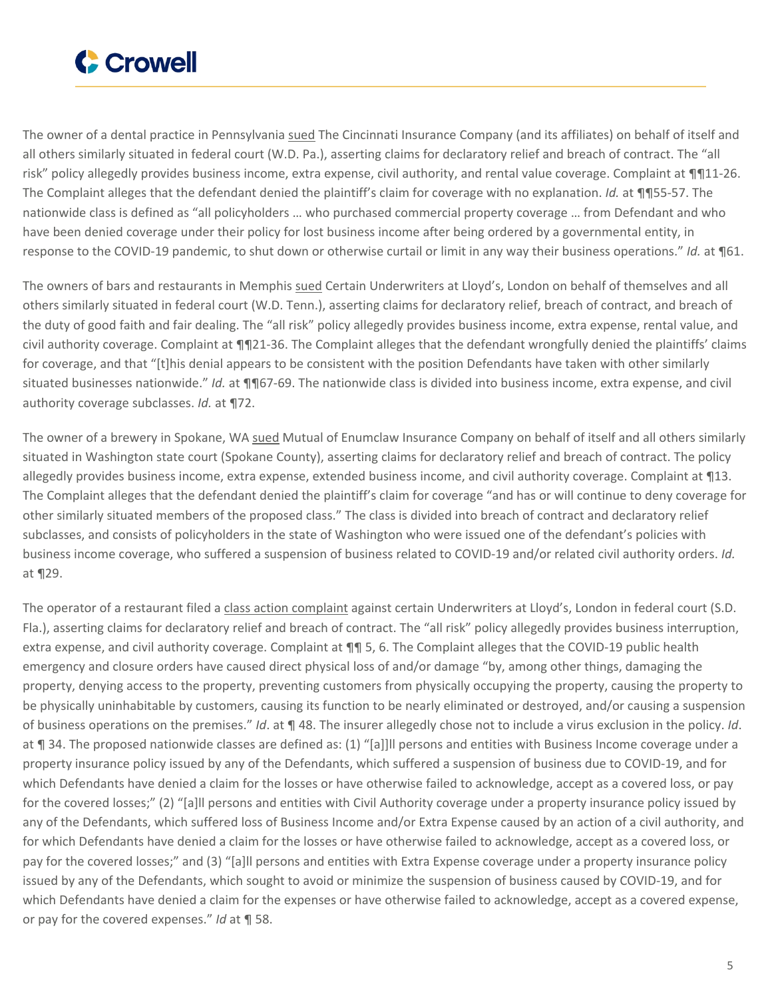

The owner of a dental practice in Pennsylvania [sued](https://www.crowell.com/files/richard.PDF) The Cincinnati Insurance Company (and its affiliates) on behalf of itself and all others similarly situated in federal court (W.D. Pa.), asserting claims for declaratory relief and breach of contract. The "all risk" policy allegedly provides business income, extra expense, civil authority, and rental value coverage. Complaint at ¶¶11-26. The Complaint alleges that the defendant denied the plaintiff's claim for coverage with no explanation. *Id.* at ¶¶55-57. The nationwide class is defined as "all policyholders … who purchased commercial property coverage … from Defendant and who have been denied coverage under their policy for lost business income after being ordered by a governmental entity, in response to the COVID-19 pandemic, to shut down or otherwise curtail or limit in any way their business operations." *Id.* at ¶61.

The owners of bars and restaurants in Memphis [sued](https://www.crowell.com/files/king.PDF) Certain Underwriters at Lloyd's, London on behalf of themselves and all others similarly situated in federal court (W.D. Tenn.), asserting claims for declaratory relief, breach of contract, and breach of the duty of good faith and fair dealing. The "all risk" policy allegedly provides business income, extra expense, rental value, and civil authority coverage. Complaint at ¶¶21-36. The Complaint alleges that the defendant wrongfully denied the plaintiffs' claims for coverage, and that "[t]his denial appears to be consistent with the position Defendants have taken with other similarly situated businesses nationwide." *Id.* at ¶¶67-69. The nationwide class is divided into business income, extra expense, and civil authority coverage subclasses. *Id.* at ¶72.

The owner of a brewery in Spokane, WA [sued](https://www.crowell.com/files/perry.PDF) Mutual of Enumclaw Insurance Company on behalf of itself and all others similarly situated in Washington state court (Spokane County), asserting claims for declaratory relief and breach of contract. The policy allegedly provides business income, extra expense, extended business income, and civil authority coverage. Complaint at 113. The Complaint alleges that the defendant denied the plaintiff's claim for coverage "and has or will continue to deny coverage for other similarly situated members of the proposed class." The class is divided into breach of contract and declaratory relief subclasses, and consists of policyholders in the state of Washington who were issued one of the defendant's policies with business income coverage, who suffered a suspension of business related to COVID-19 and/or related civil authority orders. *Id.* at ¶29.

The operator of a restaurant filed a class action [complaint](https://www.crowell.com/files/15.PDF) against certain Underwriters at Lloyd's, London in federal court (S.D. Fla.), asserting claims for declaratory relief and breach of contract. The "all risk" policy allegedly provides business interruption, extra expense, and civil authority coverage. Complaint at ¶¶ 5, 6. The Complaint alleges that the COVID-19 public health emergency and closure orders have caused direct physical loss of and/or damage "by, among other things, damaging the property, denying access to the property, preventing customers from physically occupying the property, causing the property to be physically uninhabitable by customers, causing its function to be nearly eliminated or destroyed, and/or causing a suspension of business operations on the premises." *Id*. at ¶ 48. The insurer allegedly chose not to include a virus exclusion in the policy. *Id*. at ¶ 34. The proposed nationwide classes are defined as: (1) "[a]]ll persons and entities with Business Income coverage under a property insurance policy issued by any of the Defendants, which suffered a suspension of business due to COVID-19, and for which Defendants have denied a claim for the losses or have otherwise failed to acknowledge, accept as a covered loss, or pay for the covered losses;" (2) "[a]ll persons and entities with Civil Authority coverage under a property insurance policy issued by any of the Defendants, which suffered loss of Business Income and/or Extra Expense caused by an action of a civil authority, and for which Defendants have denied a claim for the losses or have otherwise failed to acknowledge, accept as a covered loss, or pay for the covered losses;" and (3) "[a]ll persons and entities with Extra Expense coverage under a property insurance policy issued by any of the Defendants, which sought to avoid or minimize the suspension of business caused by COVID-19, and for which Defendants have denied a claim for the expenses or have otherwise failed to acknowledge, accept as a covered expense, or pay for the covered expenses." *Id* at ¶ 58.